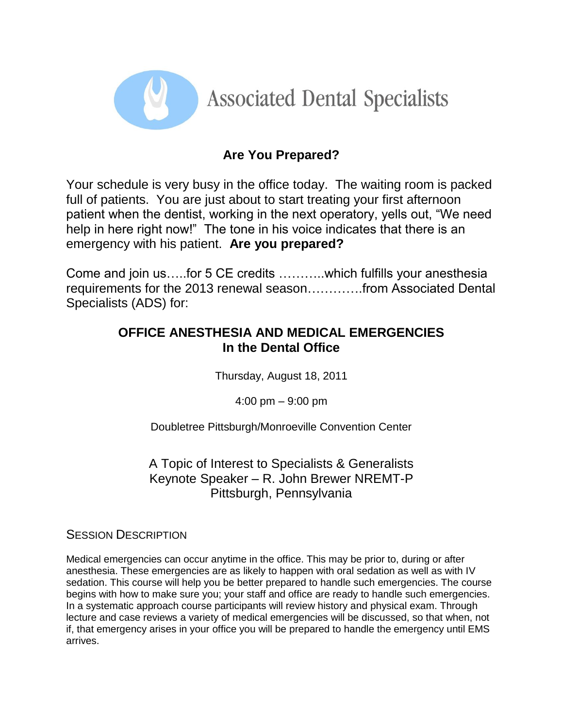

## **Are You Prepared?**

Your schedule is very busy in the office today. The waiting room is packed full of patients. You are just about to start treating your first afternoon patient when the dentist, working in the next operatory, yells out, "We need help in here right now!" The tone in his voice indicates that there is an emergency with his patient. **Are you prepared?**

Come and join us…..for 5 CE credits ………..which fulfills your anesthesia requirements for the 2013 renewal season………….from Associated Dental Specialists (ADS) for:

## **OFFICE ANESTHESIA AND MEDICAL EMERGENCIES In the Dental Office**

Thursday, August 18, 2011

4:00 pm – 9:00 pm

Doubletree Pittsburgh/Monroeville Convention Center

A Topic of Interest to Specialists & Generalists Keynote Speaker – R. John Brewer NREMT-P Pittsburgh, Pennsylvania

SESSION DESCRIPTION

Medical emergencies can occur anytime in the office. This may be prior to, during or after anesthesia. These emergencies are as likely to happen with oral sedation as well as with IV sedation. This course will help you be better prepared to handle such emergencies. The course begins with how to make sure you; your staff and office are ready to handle such emergencies. In a systematic approach course participants will review history and physical exam. Through lecture and case reviews a variety of medical emergencies will be discussed, so that when, not if, that emergency arises in your office you will be prepared to handle the emergency until EMS arrives.